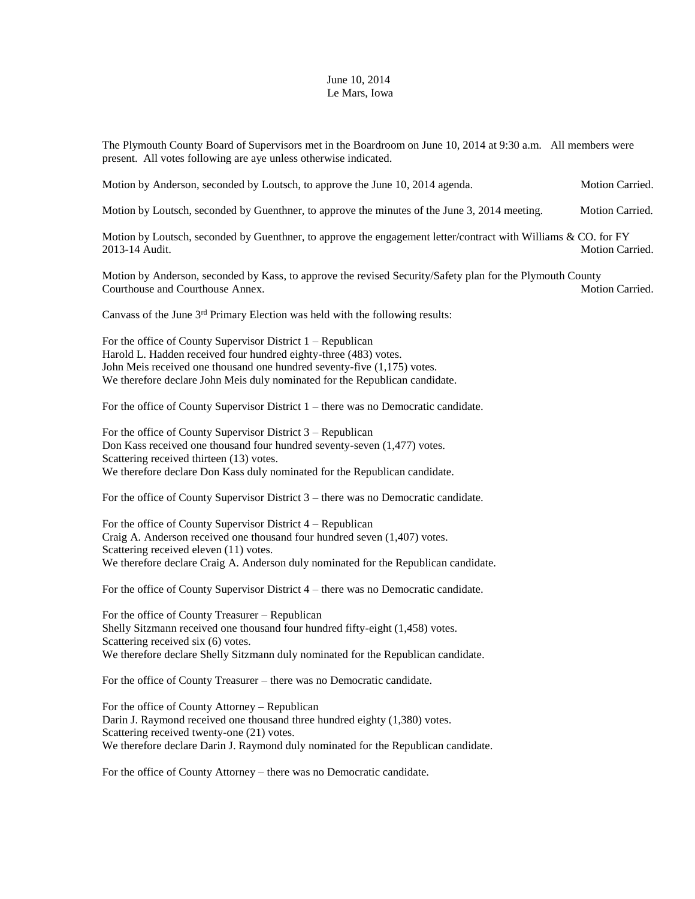## June 10, 2014 Le Mars, Iowa

The Plymouth County Board of Supervisors met in the Boardroom on June 10, 2014 at 9:30 a.m. All members were present. All votes following are aye unless otherwise indicated.

Motion by Anderson, seconded by Loutsch, to approve the June 10, 2014 agenda. Motion Carried.

Motion by Loutsch, seconded by Guenthner, to approve the minutes of the June 3, 2014 meeting. Motion Carried.

Motion by Loutsch, seconded by Guenthner, to approve the engagement letter/contract with Williams & CO. for FY 2013-14 Audit. Motion Carried.

Motion by Anderson, seconded by Kass, to approve the revised Security/Safety plan for the Plymouth County Courthouse and Courthouse Annex. The courthouse and Courthouse Annex. Motion Carried.

Canvass of the June 3rd Primary Election was held with the following results:

For the office of County Supervisor District 1 – Republican Harold L. Hadden received four hundred eighty-three (483) votes. John Meis received one thousand one hundred seventy-five (1,175) votes. We therefore declare John Meis duly nominated for the Republican candidate.

For the office of County Supervisor District 1 – there was no Democratic candidate.

For the office of County Supervisor District 3 – Republican Don Kass received one thousand four hundred seventy-seven (1,477) votes. Scattering received thirteen (13) votes. We therefore declare Don Kass duly nominated for the Republican candidate.

For the office of County Supervisor District 3 – there was no Democratic candidate.

For the office of County Supervisor District 4 – Republican Craig A. Anderson received one thousand four hundred seven (1,407) votes. Scattering received eleven (11) votes. We therefore declare Craig A. Anderson duly nominated for the Republican candidate.

For the office of County Supervisor District 4 – there was no Democratic candidate.

For the office of County Treasurer – Republican Shelly Sitzmann received one thousand four hundred fifty-eight (1,458) votes. Scattering received six (6) votes. We therefore declare Shelly Sitzmann duly nominated for the Republican candidate.

For the office of County Treasurer – there was no Democratic candidate.

For the office of County Attorney – Republican Darin J. Raymond received one thousand three hundred eighty (1,380) votes. Scattering received twenty-one  $(21)$  votes. We therefore declare Darin J. Raymond duly nominated for the Republican candidate.

For the office of County Attorney – there was no Democratic candidate.